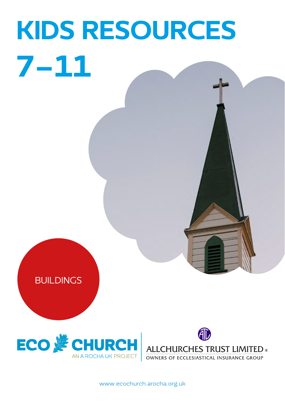# KIDS RESOURCES 7-11







**ALLCHURCHES TRUST LIMITED** ®<br>OWNERS OF ECCLESIASTICAL INSURANCE GROUP

[www.ecochurch.arocha.org.uk](http://ecochurch.arocha.org.uk)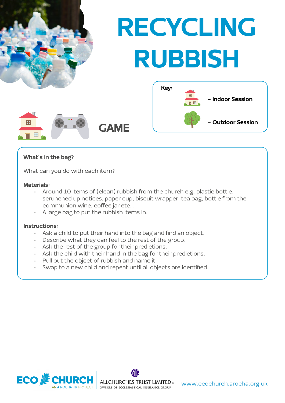

#### What's in the bag?

What can you do with each item?

#### Materials:

- Around 10 items of (clean) rubbish from the church e.g. plastic bottle, scrunched up notices, paper cup, biscuit wrapper, tea bag, bottle from the communion wine, coffee jar etc…
- A large bag to put the rubbish items in.

#### Instructions:

- Ask a child to put their hand into the bag and find an object.
- Describe what they can feel to the rest of the group.
- Ask the rest of the group for their predictions.
- Ask the child with their hand in the bag for their predictions.
- Pull out the object of rubbish and name it.
- Swap to a new child and repeat until all objects are identified.

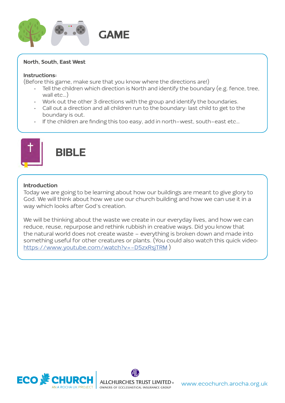

#### North, South, East West

#### Instructions:

(Before this game, make sure that you know where the directions are!)

- Tell the children which direction is North and identify the boundary (e.g. fence, tree, wall etc…)
- Work out the other 3 directions with the group and identify the boundaries.
- Call out a direction and all children run to the boundary: last child to get to the boundary is out.
- If the children are finding this too easy, add in north-west, south-east etc…



### **BIBLE**

#### Introduction

Today we are going to be learning about how our buildings are meant to give glory to God. We will think about how we use our church building and how we can use it in a way which looks after God's creation.

We will be thinking about the waste we create in our everyday lives, and how we can reduce, reuse, repurpose and rethink rubbish in creative ways. Did you know that the natural world does not create waste – everything is broken down and made into something useful for other creatures or plants. (You could also watch this quick video: <https://www.youtube.com/watch?v=-D5zxRsjTRM>)

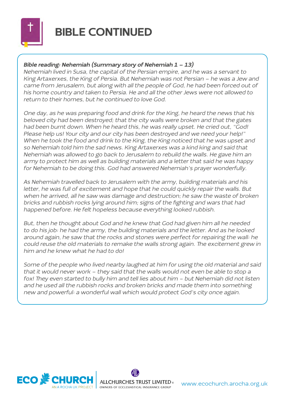

## BIBLE CONTINUED

#### Bible reading: Nehemiah (Summary story of Nehemiah 1 – 13)

Nehemiah lived in Susa, the capital of the Persian empire, and he was a servant to King Artaxerxes, the King of Persia. But Nehemiah was not Persian – he was a Jew and came from Jerusalem, but along with all the people of God, he had been forced out of his home country and taken to Persia. He and all the other Jews were not allowed to return to their homes, but he continued to love God.

One day, as he was preparing food and drink for the King, he heard the news that his beloved city had been destroyed; that the city walls were broken and that the gates had been burnt down. When he heard this, he was really upset. He cried out, "God! Please help us! Your city and our city has been destroyed and we need your help!" When he took the food and drink to the King, the King noticed that he was upset and so Nehemiah told him the sad news. King Artaxerxes was a kind king and said that Nehemiah was allowed to go back to Jerusalem to rebuild the walls. He gave him an army to protect him as well as building materials and a letter that said he was happy for Nehemiah to be doing this. God had answered Nehemiah's prayer wonderfully.

As Nehemiah travelled back to Jerusalem with the army, building materials and his letter, he was full of excitement and hope that he could quickly repair the walls. But when he arrived, all he saw was damage and destruction; he saw the waste of broken bricks and rubbish rocks lying around him; signs of the fighting and wars that had happened before. He felt hopeless because everything looked rubbish.

But, then he thought about God and he knew that God had given him all he needed to do his job: he had the army, the building materials and the letter. And as he looked around again, he saw that the rocks and stones were perfect for repairing the wall: he could reuse the old materials to remake the walls strong again. The excitement grew in him and he knew what he had to do!

Some of the people who lived nearby laughed at him for using the old material and said that it would never work – they said that the walls would not even be able to stop a fox! They even started to bully him and tell lies about him - but Nehemiah did not listen and he used all the rubbish rocks and broken bricks and made them into something new and powerful: a wonderful wall which would protect God's city once again.

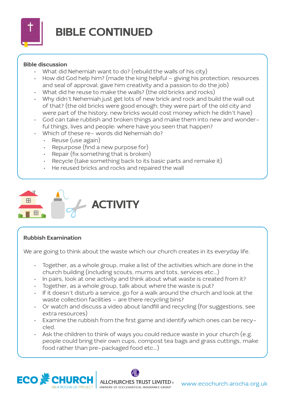

## BIBLE CONTINUED

#### Bible discussion

- What did Nehemiah want to do? (rebuild the walls of his city)
- How did God help him? (made the king helpful giving his protection, resources and seal of approval; gave him creativity and a passion to do the job)
- What did he reuse to make the walls? (the old bricks and rocks)
- Why didn't Nehemiah just get lots of new brick and rock and build the wall out of that? (the old bricks were good enough; they were part of the old city and were part of the history; new bricks would cost money which he didn't have)
- God can take rubbish and broken things and make them into new and wonderful things, lives and people: where have you seen that happen?
	- Which of these re- words did Nehemiah do?
	- Reuse (use again)
	- Repurpose (find a new purpose for)
	- Repair (fix something that is broken)
	- Recycle (take something back to its basic parts and remake it)
	- He reused bricks and rocks and repaired the wall



#### Rubbish Examination

We are going to think about the waste which our church creates in its everyday life.

- Together, as a whole group, make a list of the activities which are done in the church building (including scouts, mums and tots, services etc…)
- In pairs, look at one activity and think about what waste is created from it?
- Together, as a whole group, talk about where the waste is put?
- If it doesn't disturb a service, go for a walk around the church and look at the waste collection facilities – are there recycling bins?
- Or watch and discuss a video about landfill and recycling (for suggestions, see extra resources)
- Examine the rubbish from the first game and identify which ones can be recycled.
- Ask the children to think of ways you could reduce waste in your church (e.g. people could bring their own cups, compost tea bags and grass cuttings, make food rather than pre-packaged food etc…)

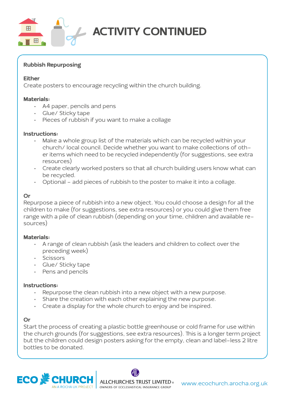

## ACTIVITY CONTINUED

#### Rubbish Repurposing

#### Either

Create posters to encourage recycling within the church building.

#### Materials:

- A4 paper, pencils and pens
- Glue/ Sticky tape
- Pieces of rubbish if you want to make a collage

#### Instructions:

- Make a whole group list of the materials which can be recycled within your church/ local council. Decide whether you want to make collections of other items which need to be recycled independently (for suggestions, see extra resources)
- Create clearly worked posters so that all church building users know what can be recycled.
- Optional add pieces of rubbish to the poster to make it into a collage.

#### Or

Repurpose a piece of rubbish into a new object. You could choose a design for all the children to make (for suggestions, see extra resources) or you could give them free range with a pile of clean rubbish (depending on your time, children and available resources)

#### Materials:

- A range of clean rubbish (ask the leaders and children to collect over the preceding week)
- Scissors
- Glue/ Sticky tape
- Pens and pencils

#### Instructions:

- Repurpose the clean rubbish into a new object with a new purpose.
- Share the creation with each other explaining the new purpose.
- Create a display for the whole church to enjoy and be inspired.

#### Or

Start the process of creating a plastic bottle greenhouse or cold frame for use within the church grounds (for suggestions, see extra resources). This is a longer term project but the children could design posters asking for the empty, clean and label-less 2 litre bottles to be donated.

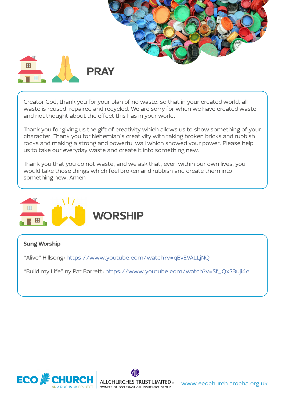

Creator God, thank you for your plan of no waste, so that in your created world, all waste is reused, repaired and recycled. We are sorry for when we have created waste and not thought about the effect this has in your world.

Thank you for giving us the gift of creativity which allows us to show something of your character. Thank you for Nehemiah's creativity with taking broken bricks and rubbish rocks and making a strong and powerful wall which showed your power. Please help us to take our everyday waste and create it into something new.

Thank you that you do not waste, and we ask that, even within our own lives, you would take those things which feel broken and rubbish and create them into something new. Amen



#### Sung Worship

"Alive" Hillsong:<https://www.youtube.com/watch?v=qEvEVALLjNQ>

"Build my Life" ny Pat Barrett: [https://www.youtube.com/watch?v=Sf\\_QxS3uji4c](https://www.youtube.com/watch?v=Sf_QxS3uji4c)



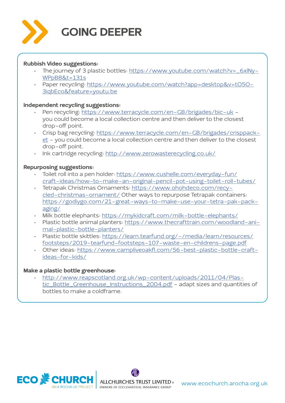

## GOING DEEPER

#### Rubbish Video suggestions:

- The journey of 3 plastic bottles: [https://www.youtube.com/watch?v=\\_6xlNy-](https://www.youtube.com/watch?v=_6xlNyWPpB8&t=131s)[WPpB8&t=131s](https://www.youtube.com/watch?v=_6xlNyWPpB8&t=131s)
- Paper recycling: [https://www.youtube.com/watch?app=desktop&v=tO5O-](https://www.youtube.com/watch?app=desktop&v=tO5O3iqbEco&feature=youtu.be)[3iqbEco&feature=youtu.be](https://www.youtube.com/watch?app=desktop&v=tO5O3iqbEco&feature=youtu.be)

#### Independent recycling suggestions:

- Pen recycling:<https://www.terracycle.com/en-GB/brigades/bic-uk> you could become a local collection centre and then deliver to the closest drop-off point.
- Crisp bag recycling: [https://www.terracycle.com/en-GB/brigades/crisppack](https://www.terracycle.com/en-GB/brigades/crisppacket)[et](https://www.terracycle.com/en-GB/brigades/crisppacket) - you could become a local collection centre and then deliver to the closest drop-off point.
- Ink cartridge recycling:<http://www.zerowasterecycling.co.uk/>

#### Repurposing suggestions:

- Toilet roll into a pen holder: [https://www.cushelle.com/everyday-fun/](https://www.cushelle.com/everyday-fun/craft-ideas/how-to-make-an-original-pencil-pot-using-toilet-roll-tubes/) [craft-ideas/how-to-make-an-original-pencil-pot-using-toilet-roll-tubes/](https://www.cushelle.com/everyday-fun/craft-ideas/how-to-make-an-original-pencil-pot-using-toilet-roll-tubes/)
- Tetrapak Christmas Ornaments: [https://www.ohohdeco.com/recy](https://www.ohohdeco.com/recycled-christmas-ornament/)[cled-christmas-ornament/](https://www.ohohdeco.com/recycled-christmas-ornament/) Other ways to repurpose Tetrapak containers: [https://godiygo.com/21-great-ways-to-make-use-your-tetra-pak-pack](https://godiygo.com/21-great-ways-to-make-use-your-tetra-pak-packaging/)[aging/](https://godiygo.com/21-great-ways-to-make-use-your-tetra-pak-packaging/)
- Milk bottle elephants:<https://mykidcraft.com/milk-bottle-elephants/>
- Plastic bottle animal planters: [https://www.thecrafttrain.com/woodland-ani](https://www.thecrafttrain.com/woodland-animal-plastic-bottle-planters/)[mal-plastic-bottle-planters/](https://www.thecrafttrain.com/woodland-animal-plastic-bottle-planters/)
- · Plastic bottle skittles: [https://learn.tearfund.org/-/media/learn/resources/](https://learn.tearfund.org/-/media/learn/resources/footsteps/2019-tearfund-footsteps-107-waste-en-childrens-page.pdf) [footsteps/2019-tearfund-footsteps-107-waste-en-childrens-page.pdf](https://learn.tearfund.org/-/media/learn/resources/footsteps/2019-tearfund-footsteps-107-waste-en-childrens-page.pdf)
- Other ideas: [https://www.campliveoakfl.com/56-best-plastic-bottle-craft](https://www.campliveoakfl.com/56-best-plastic-bottle-craft-ideas-for-kids/)[ideas-for-kids/](https://www.campliveoakfl.com/56-best-plastic-bottle-craft-ideas-for-kids/)

#### Make a plastic bottle greenhouse:

• [http://www.reapscotland.org.uk/wp-content/uploads/2011/04/Plas](http://www.reapscotland.org.uk/wp-content/uploads/2011/04/Plastic_Bottle_Greenhouse_Instructions_2004.pdf)[tic\\_Bottle\\_Greenhouse\\_Instructions\\_2004.pdf](http://www.reapscotland.org.uk/wp-content/uploads/2011/04/Plastic_Bottle_Greenhouse_Instructions_2004.pdf) - adapt sizes and quantities of bottles to make a coldframe.

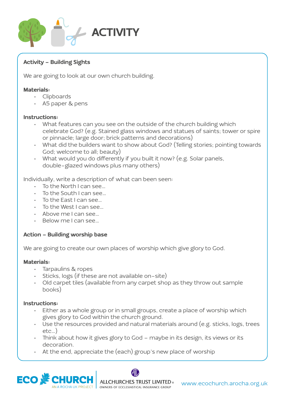

#### Activity - Building Sights

We are going to look at our own church building.

#### Materials:

- Clipboards
- A5 paper & pens

#### Instructions:

- What features can you see on the outside of the church building which celebrate God? (e.g. Stained glass windows and statues of saints; tower or spire or pinnacle; large door; brick patterns and decorations)
- What did the builders want to show about God? (Telling stories; pointing towards God; welcome to all; beauty)
- What would you do differently if you built it now? (e.g. Solar panels, double-glazed windows plus many others)

Individually, write a description of what can been seen:

- To the North I can see…
- To the South I can see…
- To the East I can see…
- To the West I can see…
- Above me I can see…
- Below me I can see…

#### Action - Building worship base

We are going to create our own places of worship which give glory to God.

#### Materials:

- Tarpaulins & ropes
- Sticks, logs (if these are not available on-site)
- Old carpet tiles (available from any carpet shop as they throw out sample books)

#### Instructions:

- Either as a whole group or in small groups, create a place of worship which gives glory to God within the church ground.
- Use the resources provided and natural materials around (e.g. sticks, logs, trees etc…)
- Think about how it gives glory to God maybe in its design, its views or its decoration.
- At the end, appreciate the (each) group's new place of worship